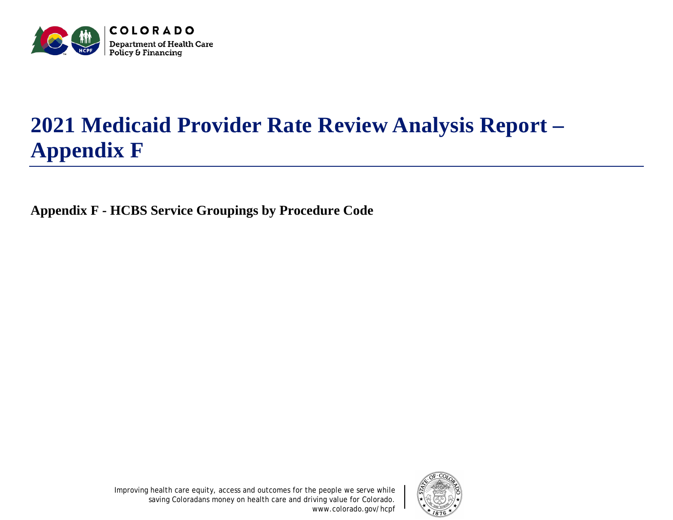

## **2021 Medicaid Provider Rate Review Analysis Report – Appendix F**

**Appendix F - HCBS Service Groupings by Procedure Code**



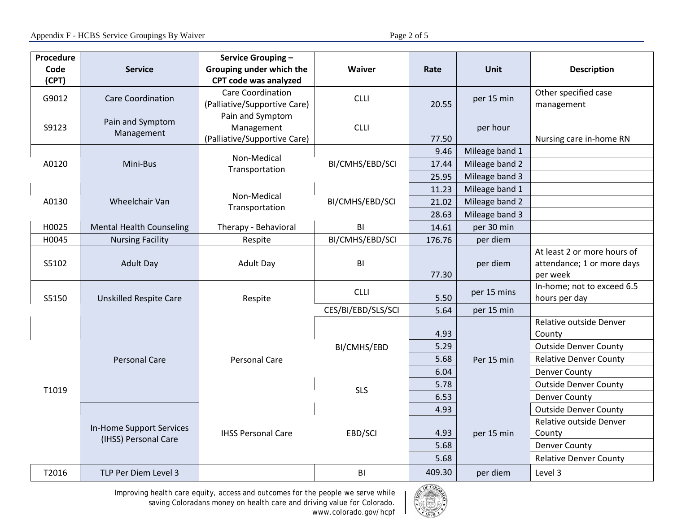| Procedure |                                                  | Service Grouping -            |                    |                                    |                      |                                        |
|-----------|--------------------------------------------------|-------------------------------|--------------------|------------------------------------|----------------------|----------------------------------------|
| Code      | <b>Service</b>                                   | Grouping under which the      | <b>Waiver</b>      | Rate                               | Unit                 | <b>Description</b>                     |
| (CPT)     |                                                  | CPT code was analyzed         |                    |                                    |                      |                                        |
| G9012     | <b>Care Coordination</b>                         | <b>Care Coordination</b>      | <b>CLLI</b>        | per 15 min<br>20.55                | Other specified case |                                        |
|           |                                                  | (Palliative/Supportive Care)  |                    |                                    |                      | management                             |
| S9123     | Pain and Symptom<br>Management                   | Pain and Symptom              |                    |                                    | per hour             |                                        |
|           |                                                  | Management                    | <b>CLLI</b>        |                                    |                      |                                        |
|           |                                                  | (Palliative/Supportive Care)  |                    | 77.50                              |                      | Nursing care in-home RN                |
|           |                                                  | Non-Medical<br>Transportation | BI/CMHS/EBD/SCI    | 9.46                               | Mileage band 1       |                                        |
| A0120     | Mini-Bus                                         |                               |                    | 17.44                              | Mileage band 2       |                                        |
|           |                                                  |                               |                    | 25.95                              | Mileage band 3       |                                        |
|           |                                                  | Non-Medical<br>Transportation |                    | 11.23                              | Mileage band 1       |                                        |
| A0130     | Wheelchair Van                                   |                               | BI/CMHS/EBD/SCI    | 21.02                              | Mileage band 2       |                                        |
|           |                                                  |                               |                    | 28.63                              | Mileage band 3       |                                        |
| H0025     | <b>Mental Health Counseling</b>                  | Therapy - Behavioral          | BI                 | 14.61                              | per 30 min           |                                        |
| H0045     | <b>Nursing Facility</b>                          | Respite                       | BI/CMHS/EBD/SCI    | 176.76                             | per diem             |                                        |
|           | <b>Adult Day</b>                                 | <b>Adult Day</b>              |                    |                                    | per diem             | At least 2 or more hours of            |
| S5102     |                                                  |                               |                    | BI                                 |                      | attendance; 1 or more days             |
|           | <b>Unskilled Respite Care</b>                    | Respite                       |                    | 77.30                              | per 15 mins          | per week<br>In-home; not to exceed 6.5 |
| S5150     |                                                  |                               | <b>CLLI</b>        | 5.50                               |                      | hours per day                          |
|           |                                                  |                               | CES/BI/EBD/SLS/SCI | 5.64                               | per 15 min           |                                        |
|           | <b>Personal Care</b>                             | <b>Personal Care</b>          | BI/CMHS/EBD        |                                    | Per 15 min           | Relative outside Denver                |
|           |                                                  |                               |                    | 4.93                               |                      | County                                 |
|           |                                                  |                               |                    | 5.29                               |                      | <b>Outside Denver County</b>           |
|           |                                                  |                               |                    | 5.68                               |                      | <b>Relative Denver County</b>          |
|           |                                                  |                               |                    | 6.04                               |                      | <b>Denver County</b>                   |
|           |                                                  |                               | <b>SLS</b>         | 5.78                               |                      | <b>Outside Denver County</b>           |
| T1019     |                                                  |                               |                    | 6.53                               |                      | <b>Denver County</b>                   |
|           | In-Home Support Services<br>(IHSS) Personal Care | <b>IHSS Personal Care</b>     |                    | 4.93                               | per 15 min           | <b>Outside Denver County</b>           |
|           |                                                  |                               |                    |                                    |                      | Relative outside Denver                |
|           |                                                  |                               | EBD/SCI            | 4.93                               |                      | County                                 |
|           |                                                  |                               |                    | 5.68                               |                      | <b>Denver County</b>                   |
|           |                                                  |                               |                    | 5.68                               |                      | <b>Relative Denver County</b>          |
| T2016     | TLP Per Diem Level 3                             |                               | BI                 | 409.30                             | per diem             | Level 3                                |
|           |                                                  |                               |                    | $\sqrt{\lambda F}$ CO <sub>2</sub> |                      |                                        |

Improving health care equity, access and outcomes for the people we serve while saving Coloradans money on health care and driving value for Colorado. www.colorado.gov/hcpf

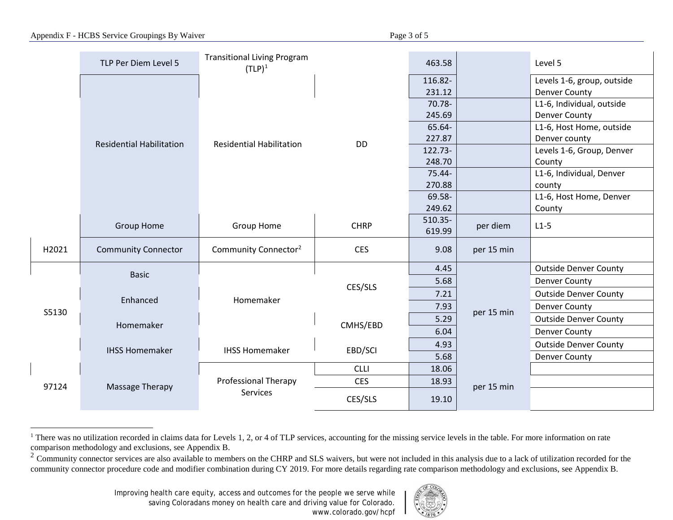|       |                                 | <b>Transitional Living Program</b>      |             |         |            |                              |
|-------|---------------------------------|-----------------------------------------|-------------|---------|------------|------------------------------|
|       | TLP Per Diem Level 5            | $(TLP)^1$                               |             | 463.58  |            | Level 5                      |
|       | <b>Residential Habilitation</b> | <b>Residential Habilitation</b>         | <b>DD</b>   | 116.82- |            | Levels 1-6, group, outside   |
|       |                                 |                                         |             | 231.12  |            | <b>Denver County</b>         |
|       |                                 |                                         |             | 70.78-  |            | L1-6, Individual, outside    |
|       |                                 |                                         |             | 245.69  |            | <b>Denver County</b>         |
|       |                                 |                                         |             | 65.64-  |            | L1-6, Host Home, outside     |
|       |                                 |                                         |             | 227.87  |            | Denver county                |
|       |                                 |                                         |             | 122.73- |            | Levels 1-6, Group, Denver    |
|       |                                 |                                         |             | 248.70  |            | County                       |
|       |                                 |                                         |             | 75.44-  |            | L1-6, Individual, Denver     |
|       |                                 |                                         |             | 270.88  |            | county                       |
|       |                                 |                                         |             | 69.58-  |            | L1-6, Host Home, Denver      |
|       |                                 |                                         |             | 249.62  |            | County                       |
|       | <b>Group Home</b>               | Group Home                              | <b>CHRP</b> | 510.35- | per diem   | $L1-5$                       |
|       |                                 |                                         |             | 619.99  |            |                              |
| H2021 | <b>Community Connector</b>      | Community Connector <sup>2</sup>        | <b>CES</b>  | 9.08    | per 15 min |                              |
|       | <b>Basic</b>                    | Homemaker                               | CES/SLS     | 4.45    | per 15 min | <b>Outside Denver County</b> |
|       |                                 |                                         |             | 5.68    |            | <b>Denver County</b>         |
|       | Enhanced                        |                                         |             | 7.21    |            | <b>Outside Denver County</b> |
| S5130 |                                 |                                         |             | 7.93    |            | <b>Denver County</b>         |
|       | Homemaker                       |                                         | CMHS/EBD    | 5.29    |            | <b>Outside Denver County</b> |
|       |                                 |                                         |             | 6.04    |            | <b>Denver County</b>         |
|       | <b>IHSS Homemaker</b>           | <b>IHSS Homemaker</b>                   | EBD/SCI     | 4.93    |            | <b>Outside Denver County</b> |
|       |                                 |                                         |             | 5.68    |            | <b>Denver County</b>         |
| 97124 | Massage Therapy                 | Professional Therapy<br><b>Services</b> | <b>CLLI</b> | 18.06   |            |                              |
|       |                                 |                                         | <b>CES</b>  | 18.93   | per 15 min |                              |
|       |                                 |                                         | CES/SLS     | 19.10   |            |                              |

<sup>&</sup>lt;sup>1</sup> There was no utilization recorded in claims data for Levels 1, 2, or 4 of TLP services, accounting for the missing service levels in the table. For more information on rate comparison methodology and exclusions, see Appendix B.

 $\overline{a}$ 

<span id="page-2-1"></span><span id="page-2-0"></span>Appendix F - HCBS Service Groupings By Waiver Page 3 of 5



 $2$  Community connector services are also available to members on the CHRP and SLS waivers, but were not included in this analysis due to a lack of utilization recorded for the community connector procedure code and modifier combination during CY 2019. For more details regarding rate comparison methodology and exclusions, see Appendix B.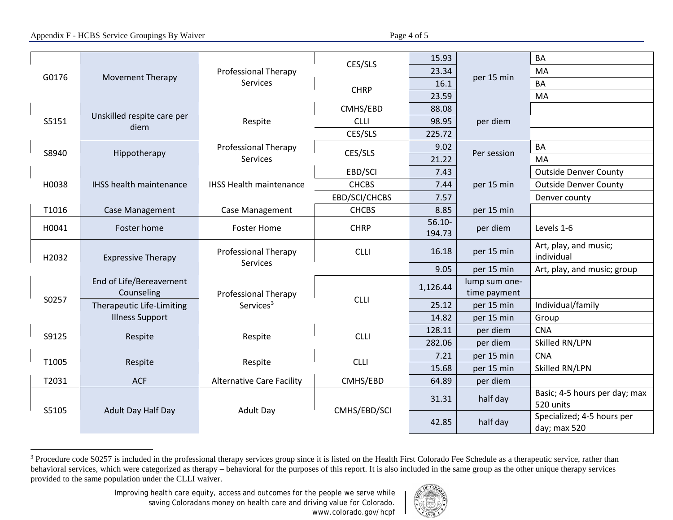## Appendix F - HCBS Service Groupings By Waiver Page 4 of 5

<span id="page-3-0"></span>

|       |                                    |                                               |               |           |               | <b>BA</b>                     |
|-------|------------------------------------|-----------------------------------------------|---------------|-----------|---------------|-------------------------------|
| G0176 | <b>Movement Therapy</b>            | <b>Professional Therapy</b><br>Services       | CES/SLS       | 15.93     | per 15 min    |                               |
|       |                                    |                                               |               | 23.34     |               | MA                            |
|       |                                    |                                               | <b>CHRP</b>   | 16.1      |               | BA                            |
|       |                                    |                                               |               | 23.59     |               | MA                            |
|       | Unskilled respite care per<br>diem | Respite                                       | CMHS/EBD      | 88.08     | per diem      |                               |
| S5151 |                                    |                                               | <b>CLLI</b>   | 98.95     |               |                               |
|       |                                    |                                               | CES/SLS       | 225.72    |               |                               |
|       | Hippotherapy                       | <b>Professional Therapy</b><br>Services       | CES/SLS       | 9.02      | Per session   | BA                            |
| S8940 |                                    |                                               |               | 21.22     |               | MA                            |
|       |                                    |                                               | EBD/SCI       | 7.43      |               | <b>Outside Denver County</b>  |
| H0038 | <b>IHSS health maintenance</b>     | <b>IHSS Health maintenance</b>                | <b>CHCBS</b>  | 7.44      | per 15 min    | <b>Outside Denver County</b>  |
|       |                                    |                                               | EBD/SCI/CHCBS | 7.57      |               | Denver county                 |
| T1016 | Case Management                    | Case Management                               | <b>CHCBS</b>  | 8.85      | per 15 min    |                               |
|       | Foster home                        | <b>Foster Home</b>                            |               | $56.10 -$ | per diem      |                               |
| H0041 |                                    |                                               | <b>CHRP</b>   | 194.73    |               | Levels 1-6                    |
|       | <b>Expressive Therapy</b>          | <b>Professional Therapy</b><br>Services       |               | 16.18     | per 15 min    | Art, play, and music;         |
| H2032 |                                    |                                               | <b>CLLI</b>   |           |               | individual                    |
|       |                                    |                                               |               | 9.05      | per 15 min    | Art, play, and music; group   |
|       | End of Life/Bereavement            | Professional Therapy<br>Services <sup>3</sup> |               | 1,126.44  | lump sum one- |                               |
| S0257 | Counseling                         |                                               | <b>CLLI</b>   |           | time payment  |                               |
|       | Therapeutic Life-Limiting          |                                               |               | 25.12     | per 15 min    | Individual/family             |
|       | <b>Illness Support</b>             |                                               |               | 14.82     | per 15 min    | Group                         |
| S9125 | Respite                            | Respite                                       | <b>CLLI</b>   | 128.11    | per diem      | <b>CNA</b>                    |
|       |                                    |                                               |               | 282.06    | per diem      | Skilled RN/LPN                |
|       | Respite                            | Respite                                       | <b>CLLI</b>   | 7.21      | per 15 min    | <b>CNA</b>                    |
| T1005 |                                    |                                               |               | 15.68     | per 15 min    | Skilled RN/LPN                |
| T2031 | <b>ACF</b>                         | <b>Alternative Care Facility</b>              | CMHS/EBD      | 64.89     | per diem      |                               |
| S5105 | Adult Day Half Day                 | <b>Adult Day</b>                              | CMHS/EBD/SCI  | 31.31     | half day      | Basic; 4-5 hours per day; max |
|       |                                    |                                               |               |           |               | 520 units                     |
|       |                                    |                                               |               | 42.85     | half day      | Specialized; 4-5 hours per    |
|       |                                    |                                               |               |           |               | day; max 520                  |

l <sup>3</sup> Procedure code S0257 is included in the professional therapy services group since it is listed on the Health First Colorado Fee Schedule as a therapeutic service, rather than behavioral services, which were categorized as therapy – behavioral for the purposes of this report. It is also included in the same group as the other unique therapy services provided to the same population under the CLLI waiver.